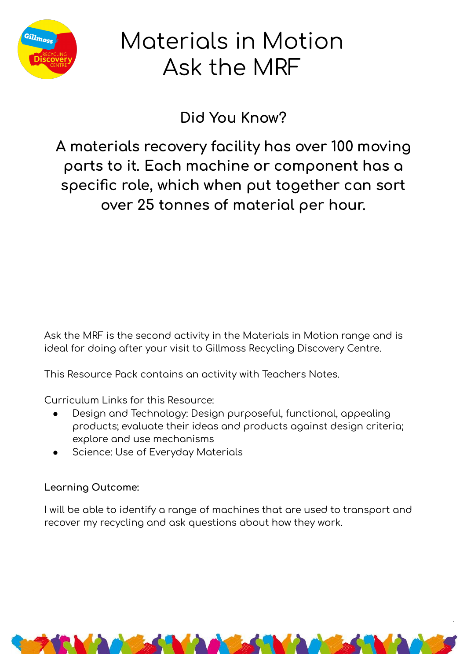

## Materials in Motion Ask the MRF

Did You Know?

A materials recovery facility has over 100 moving parts to it. Each machine or component has a specific role, which when put together can sort over 25 tonnes of material per hour.

Ask the MRF is the second activity in the Materials in Motion range and is ideal for doing after your visit to Gillmoss Recycling Discovery Centre.

This Resource Pack contains an activity with Teachers Notes.

Curriculum Links for this Resource:

- Design and Technology: Design purposeful, functional, appealing products; evaluate their ideas and products against design criteria; explore and use mechanisms
- Science: Use of Everyday Materials

### Learning Outcome:

I will be able to identify a range of machines that are used to transport and recover my recycling and ask questions about how they work.

**MARK MARK MARKET**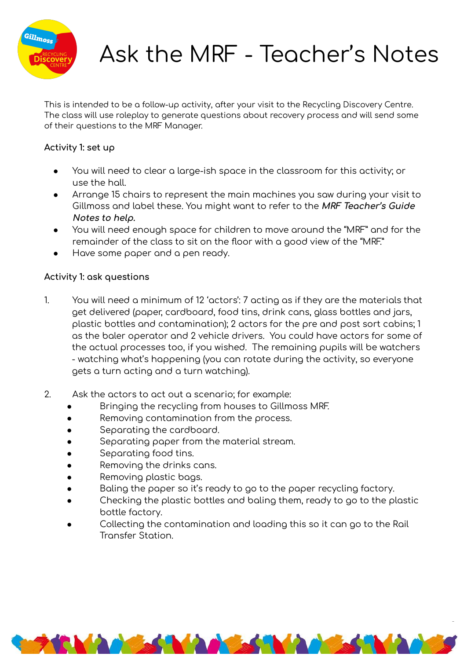

# Ask the MRF - Teacher's Notes

This is intended to be a follow-up activity, after your visit to the Recycling Discovery Centre. The class will use roleplay to generate questions about recovery process and will send some of their questions to the MRF Manager.

### **Activity 1: set up**

- You will need to clear a large-ish space in the classroom for this activity; or use the hall.
- Arrange 15 chairs to represent the main machines you saw during your visit to Gillmoss and label these. You might want to refer to the MRF Teacher's Guide **Notes to help.**
- You will need enough space for children to move around the "MRF" and for the remainder of the class to sit on the floor with a good view of the "MRF."
- Have some paper and a pen ready.

### **Activity 1: ask questions**

- 1. You will need a minimum of 12 'actors': 7 acting as if they are the materials that get delivered (paper, cardboard, food tins, drink cans, glass bottles and jars, plastic bottles and contamination); 2 actors for the pre and post sort cabins; 1 as the baler operator and 2 vehicle drivers. You could have actors for some of the actual processes too, if you wished. The remaining pupils will be watchers - watching what's happening (you can rotate during the activity, so everyone gets a turn acting and a turn watching).
- 2. Ask the actors to act out a scenario; for example:
	- Bringing the recycling from houses to Gillmoss MRF.
	- Removing contamination from the process.
	- Separating the cardboard.
	- Separating paper from the material stream.
	- Separating food tins.
	- Removing the drinks cans.
	- Removing plastic bags.
	- Baling the paper so it's ready to go to the paper recycling factory.
	- Checking the plastic bottles and baling them, ready to go to the plastic bottle factory.
	- Collecting the contamination and loading this so it can go to the Rail Transfer Station.

**TOMAGES ARE ARE ARE A SERVED** 

2